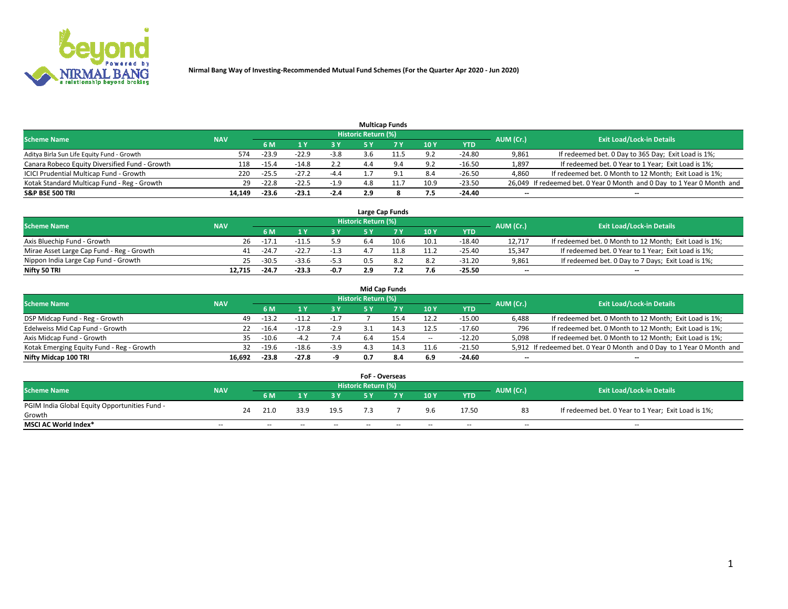

|                                                |            |         |         |        |                     | <b>Multicap Funds</b> |      |          |           |                                                                        |
|------------------------------------------------|------------|---------|---------|--------|---------------------|-----------------------|------|----------|-----------|------------------------------------------------------------------------|
| <b>Scheme Name</b>                             | <b>NAV</b> |         |         |        | Historic Return (%) |                       |      |          | AUM (Cr.) | <b>Exit Load/Lock-in Details</b>                                       |
|                                                |            | 6 M     |         |        |                     |                       | 10Y  | YTD      |           |                                                                        |
| Aditya Birla Sun Life Equity Fund - Growth     | 574        | $-23.9$ | $-22.9$ | $-3.8$ | ≺.h                 |                       | 9.2  | $-24.80$ | 9,861     | If redeemed bet. 0 Day to 365 Day; Exit Load is 1%;                    |
| Canara Robeco Equity Diversified Fund - Growth | 118        | $-15.4$ | $-14.8$ | 2.2    |                     |                       | 9.2  | $-16.50$ | 1,897     | If redeemed bet. 0 Year to 1 Year; Exit Load is 1%;                    |
| ICICI Prudential Multicap Fund - Growth        | 220        | $-25.5$ | $-27.2$ | $-4.4$ |                     |                       | 8.4  | $-26.50$ | 4,860     | If redeemed bet. 0 Month to 12 Month; Exit Load is 1%;                 |
| Kotak Standard Multicap Fund - Reg - Growth    | 29         | $-22.8$ | $-22.5$ | $-1.9$ |                     |                       | 10.9 | $-23.50$ |           | 26,049 If redeemed bet. 0 Year 0 Month and 0 Day to 1 Year 0 Month and |
| <b>S&amp;P BSE 500 TRI</b>                     | 14.149     | $-23.6$ | $-23.1$ | $-2.4$ | 2.9                 |                       | 7.5  | -24.40   | $- -$     | $\overline{\phantom{a}}$                                               |

|                                           |            |         |         |      |                     | Large Cap Funds |      |            |                          |                                                        |
|-------------------------------------------|------------|---------|---------|------|---------------------|-----------------|------|------------|--------------------------|--------------------------------------------------------|
| <b>Scheme Name</b>                        | <b>NAV</b> |         |         |      | Historic Return (%) |                 |      |            | AUM (Cr.)                | <b>Exit Load/Lock-in Details</b>                       |
|                                           |            | 6 M     |         | 3 Y  |                     |                 | 10Y  | <b>YTD</b> |                          |                                                        |
| Axis Bluechip Fund - Growth               | 26         | $-17.1$ |         | 5.9  | b.4                 | 10.6            | 10.1 | -18.40     | 12.717                   | If redeemed bet. 0 Month to 12 Month; Exit Load is 1%; |
| Mirae Asset Large Cap Fund - Reg - Growth | 41         | $-24.$  |         |      |                     |                 |      | $-25.40$   | 15.347                   | If redeemed bet. 0 Year to 1 Year; Exit Load is 1%;    |
| Nippon India Large Cap Fund - Growth      | 25         | $-30.5$ | $-33.6$ | -5.3 |                     |                 | 8.2  | $-31.20$   | 9,861                    | If redeemed bet. 0 Day to 7 Days; Exit Load is 1%;     |
| Nifty 50 TRI                              | 12.715     | $-24.7$ | $-23.3$ | -0.7 | 2.9                 |                 | 7.6  | $-25.50$   | $\overline{\phantom{a}}$ | $\overline{\phantom{a}}$                               |

|                                           |            |         |         |        |                     | <b>Mid Cap Funds</b> |                          |            |           |                                                                       |
|-------------------------------------------|------------|---------|---------|--------|---------------------|----------------------|--------------------------|------------|-----------|-----------------------------------------------------------------------|
| <b>Scheme Name</b>                        | <b>NAV</b> |         |         |        | Historic Return (%) |                      |                          |            | AUM (Cr.) | <b>Exit Load/Lock-in Details</b>                                      |
|                                           |            | 6 M     |         | 3 Y    |                     |                      | 10Y                      | <b>YTD</b> |           |                                                                       |
| DSP Midcap Fund - Reg - Growth            | 49         | $-13.2$ | $-11.2$ | $-1.7$ |                     |                      | 12.2                     | $-15.00$   | 6.488     | If redeemed bet. 0 Month to 12 Month; Exit Load is 1%;                |
| Edelweiss Mid Cap Fund - Growth           | 22.        | $-16.4$ | $-17.8$ | $-2.9$ |                     |                      | 12.5                     | $-17.60$   | 796       | If redeemed bet. 0 Month to 12 Month; Exit Load is 1%;                |
| Axis Midcap Fund - Growth                 | 35.        | $-10.6$ |         | 7.4    | 6.4                 | 15.4                 | $\overline{\phantom{a}}$ | $-12.20$   | 5,098     | If redeemed bet. 0 Month to 12 Month; Exit Load is 1%;                |
| Kotak Emerging Equity Fund - Reg - Growth | 32         | $-19.6$ | $-18.6$ | $-3.9$ |                     | 14.3                 | 11.6                     | $-21.50$   |           | 5,912 If redeemed bet. 0 Year 0 Month and 0 Day to 1 Year 0 Month and |
| Nifty Midcap 100 TRI                      | 16.692     | $-23.8$ | $-27.8$ | -a     | 0.7                 | 8.4                  | 6.9                      | $-24.60$   | --        | $\overline{\phantom{a}}$                                              |

|                                               |               |    |        |        |      | <b>FoF - Overseas</b> |    |     |            |           |                                                     |
|-----------------------------------------------|---------------|----|--------|--------|------|-----------------------|----|-----|------------|-----------|-----------------------------------------------------|
| <b>Scheme Name</b>                            | <b>NAV</b>    |    |        |        |      | Historic Return (%)   |    |     |            | AUM (Cr.) | <b>Exit Load/Lock-in Details</b>                    |
|                                               |               |    | 6 M    |        | 2 V  |                       |    | 10Y | <b>YTD</b> |           |                                                     |
| PGIM India Global Equity Opportunities Fund - |               | 24 | 21.0   | 33.9   | 19.5 |                       |    | 9.6 | 17.50      | 83        | If redeemed bet. 0 Year to 1 Year; Exit Load is 1%; |
| Growth                                        |               |    |        |        |      |                       |    |     |            |           |                                                     |
| <b>MSCI AC World Index*</b>                   | $\sim$ $\sim$ |    | $\sim$ | $\sim$ | $-$  | $\sim$                | -- | $-$ | $-$        | $-$       | $-$                                                 |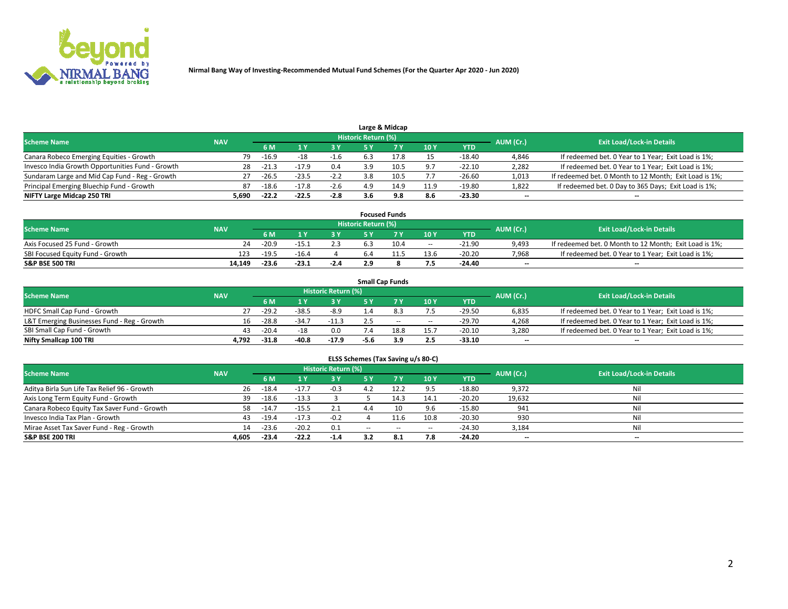

|                                                  |            |         |         |        |                     | Large & Midcap |      |            |           |                                                        |
|--------------------------------------------------|------------|---------|---------|--------|---------------------|----------------|------|------------|-----------|--------------------------------------------------------|
| <b>Scheme Name</b>                               | <b>NAV</b> |         |         |        | Historic Return (%) |                |      |            | AUM (Cr.) | <b>Exit Load/Lock-in Details</b>                       |
|                                                  |            | 6 M     |         | २ ४    |                     |                | 10Y  | <b>YTD</b> |           |                                                        |
| Canara Robeco Emerging Equities - Growth         | 79         | $-16.9$ | $-18$   | -1.6   |                     | 17.8           | 15   | $-18.40$   | 4,846     | If redeemed bet. 0 Year to 1 Year; Exit Load is 1%;    |
| Invesco India Growth Opportunities Fund - Growth | 28         | $-21.3$ | $-17.9$ | 0.4    | 3.9                 | 10.5           | 9.7  | $-22.10$   | 2,282     | If redeemed bet. 0 Year to 1 Year; Exit Load is 1%;    |
| Sundaram Large and Mid Cap Fund - Reg - Growth   |            | $-26.5$ | $-23.5$ | $-2.2$ | .8                  | 10.5           | 7.7  | $-26.60$   | 1,013     | If redeemed bet. 0 Month to 12 Month; Exit Load is 1%; |
| Principal Emerging Bluechip Fund - Growth        | 87         | $-18.6$ | $-17.8$ | $-2.6$ | 4.9                 | 14.9           | 11.9 | $-19.80$   | 1,822     | If redeemed bet. 0 Day to 365 Days; Exit Load is 1%;   |
| NIFTY Large Midcap 250 TRI                       | 5,690      | $-22.2$ | $-22.5$ | $-2.8$ | 3.6                 | 9.8            | 8.6  | $-23.30$   | $- -$     | $\sim$                                                 |

|                                  |            |         |         |        |                     | <b>Focused Funds</b> |        |            |                          |                                                        |
|----------------------------------|------------|---------|---------|--------|---------------------|----------------------|--------|------------|--------------------------|--------------------------------------------------------|
| <b>Scheme Name</b>               | <b>NAV</b> |         |         |        | Historic Return (%) |                      |        |            | AUM (Cr.)                | <b>Exit Load/Lock-in Details</b>                       |
|                                  |            | 6 M     |         |        |                     |                      | 10Y    | <b>YTD</b> |                          |                                                        |
| Axis Focused 25 Fund - Growth    | 24         | $-20.9$ | -15.1   |        |                     | 10.4                 | $\sim$ | $-21.90$   | 9,493                    | If redeemed bet. 0 Month to 12 Month; Exit Load is 1%; |
| SBI Focused Equity Fund - Growth | 123        | $-19.5$ | $-16.4$ |        |                     |                      | 13.6   | $-20.20$   | 7.968                    | If redeemed bet. 0 Year to 1 Year; Exit Load is 1%;    |
| <b>S&amp;P BSE 500 TRI</b>       | 14.149     | $-23.6$ | $-23.1$ | $-2.4$ | 2.9                 |                      | 7.5    | $-24.40$   | $\overline{\phantom{a}}$ | $\overline{\phantom{a}}$                               |

|                                             |            |         |           |                                  |      | <b>Small Cap Funds</b> |       |            |       |                                                     |
|---------------------------------------------|------------|---------|-----------|----------------------------------|------|------------------------|-------|------------|-------|-----------------------------------------------------|
| <b>Scheme Name</b>                          | <b>NAV</b> |         | AUM (Cr.) | <b>Exit Load/Lock-in Details</b> |      |                        |       |            |       |                                                     |
|                                             |            | 6 M     |           | 3 Y                              |      |                        | 10Y   | <b>YTD</b> |       |                                                     |
| HDFC Small Cap Fund - Growth                |            | $-29.2$ | $-38.5$   | $-8.9$                           | 1.4  |                        | 7.5   | $-29.50$   | 6,835 | If redeemed bet. 0 Year to 1 Year; Exit Load is 1%; |
| L&T Emerging Businesses Fund - Reg - Growth | 16.        | $-28.8$ | $-34.7$   | $-11.3$                          |      | $\sim$                 | $- -$ | $-29.70$   | 4,268 | If redeemed bet. 0 Year to 1 Year; Exit Load is 1%; |
| SBI Small Cap Fund - Growth                 | 43         | $-20.4$ | $-18$     | 0.0                              | 7.4  | 18.8                   | 15.7  | $-20.10$   | 3,280 | If redeemed bet. 0 Year to 1 Year; Exit Load is 1%; |
| Nifty Smallcap 100 TRI                      | 4.792      | $-31.8$ | $-40.8$   | $-17.9$                          | -5.6 | 3.9                    | 2.5   | $-33.10$   | $- -$ | $\overline{\phantom{a}}$                            |

| ELSS Schemes (Tax Saving u/s 80-C)           |            |         |         |                            |        |        |                 |            |                          |                                  |  |  |  |
|----------------------------------------------|------------|---------|---------|----------------------------|--------|--------|-----------------|------------|--------------------------|----------------------------------|--|--|--|
| <b>Scheme Name</b>                           | <b>NAV</b> |         |         | <b>Historic Return (%)</b> |        |        |                 |            | AUM (Cr.)                | <b>Exit Load/Lock-in Details</b> |  |  |  |
|                                              |            | 6 M     |         | 3 Y                        | 5 Y    |        | 10 <sub>Y</sub> | <b>YTD</b> |                          |                                  |  |  |  |
| Aditya Birla Sun Life Tax Relief 96 - Growth | 26         | $-18.4$ | $-17.7$ | $-0.3$                     | 4.2    | 12.2   | 9.5             | $-18.80$   | 9,372                    | Nil                              |  |  |  |
| Axis Long Term Equity Fund - Growth          | 39         | $-18.6$ | $-13.3$ |                            |        | 14.3   | 14.1            | $-20.20$   | 19,632                   | Nil                              |  |  |  |
| Canara Robeco Equity Tax Saver Fund - Growth | 58         | $-14.7$ | $-15.5$ | 2.1                        | 4.4    |        | 9.6             | $-15.80$   | 941                      | Nil                              |  |  |  |
| Invesco India Tax Plan - Growth              | 43         | $-19.4$ | $-17.3$ | $-0.2$                     |        | 11.6   | 10.8            | $-20.30$   | 930                      | Nil                              |  |  |  |
| Mirae Asset Tax Saver Fund - Reg - Growth    | 14         | $-23.6$ | $-20.2$ | 0.1                        | $\sim$ | $\sim$ | $\sim$          | $-24.30$   | 3,184                    | Nil                              |  |  |  |
| <b>S&amp;P BSE 200 TRI</b>                   | 4.605      | $-23.4$ | $-22.2$ | $-1.4$                     | 3.2    | 8.1    | 7.8             | $-24.20$   | $\overline{\phantom{a}}$ | --                               |  |  |  |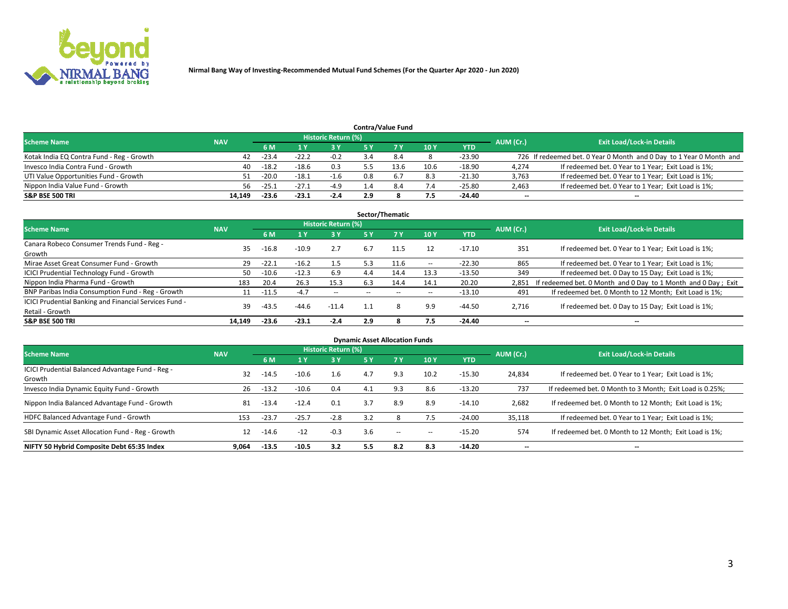

|                                           |            |         |         |                            |     | <b>Contra/Value Fund</b> |      |            |           |                                                                     |
|-------------------------------------------|------------|---------|---------|----------------------------|-----|--------------------------|------|------------|-----------|---------------------------------------------------------------------|
| <b>Scheme Name</b>                        | <b>NAV</b> |         |         | <b>Historic Return (%)</b> |     |                          |      |            | AUM (Cr.) | <b>Exit Load/Lock-in Details</b>                                    |
|                                           |            | 6 M     |         | 73 V                       |     |                          | 10Y  | <b>YTD</b> |           |                                                                     |
| Kotak India EQ Contra Fund - Reg - Growth | 42         | $-23.4$ |         | $-0.2$                     |     |                          |      | $-23.90$   |           | 726 If redeemed bet. 0 Year 0 Month and 0 Day to 1 Year 0 Month and |
| Invesco India Contra Fund - Growth        | 40         | $-18.2$ | $-18.6$ | 0.3                        |     | 13.6                     | 10.6 | $-18.90$   | 4,274     | If redeemed bet. 0 Year to 1 Year; Exit Load is 1%;                 |
| UTI Value Opportunities Fund - Growth     | 51.        | $-20.0$ | $-18.1$ | $-1.6$                     | 0.8 | 6.7                      | 8.3  | $-21.30$   | 3,763     | If redeemed bet. 0 Year to 1 Year; Exit Load is 1%;                 |
| Nippon India Value Fund - Growth          | 56.        | $-25.1$ | $-27.1$ | -4.9                       |     |                          | 7.4  | $-25.80$   | 2,463     | If redeemed bet. 0 Year to 1 Year; Exit Load is 1%;                 |
| <b>S&amp;P BSE 500 TRI</b>                | 14.149     | $-23.6$ | -23.1   | $-2.4$                     | 2.9 |                          | 7.5  | $-24.40$   | $- -$     | $\overline{\phantom{a}}$                                            |

| Sector/Thematic                                                           |            |         |         |                     |           |           |        |            |                          |                                                               |  |  |  |
|---------------------------------------------------------------------------|------------|---------|---------|---------------------|-----------|-----------|--------|------------|--------------------------|---------------------------------------------------------------|--|--|--|
| <b>Scheme Name</b>                                                        | <b>NAV</b> |         |         | Historic Return (%) |           |           |        |            | AUM (Cr.)                | <b>Exit Load/Lock-in Details</b>                              |  |  |  |
|                                                                           |            | 6 M     |         | 3Y                  | <b>5Y</b> | <b>7Y</b> | 10Y    | <b>YTD</b> |                          |                                                               |  |  |  |
| Canara Robeco Consumer Trends Fund - Reg -<br>Growth                      | 35         | $-16.8$ | $-10.9$ | 2.7                 | 6.7       | 11.5      | 12     | -17.10     | 351                      | If redeemed bet. 0 Year to 1 Year; Exit Load is 1%;           |  |  |  |
| Mirae Asset Great Consumer Fund - Growth                                  | 29         | $-22.1$ | $-16.2$ | 1.5                 | 5.3       | 11.6      | $\sim$ | $-22.30$   | 865                      | If redeemed bet. 0 Year to 1 Year; Exit Load is 1%;           |  |  |  |
| <b>ICICI Prudential Technology Fund - Growth</b>                          | 50         | $-10.6$ | $-12.3$ | 6.9                 | 4.4       | 14.4      | 13.3   | $-13.50$   | 349                      | If redeemed bet. 0 Day to 15 Day; Exit Load is 1%;            |  |  |  |
| Nippon India Pharma Fund - Growth                                         | 183        | 20.4    | 26.3    | 15.3                | 6.3       | 14.4      | 14.1   | 20.20      | 2.851                    | If redeemed bet. 0 Month and 0 Day to 1 Month and 0 Day; Exit |  |  |  |
| BNP Paribas India Consumption Fund - Reg - Growth                         | 11         | $-11.5$ | $-4.7$  | $\sim$              |           |           | $\sim$ | $-13.10$   | 491                      | If redeemed bet. 0 Month to 12 Month; Exit Load is 1%;        |  |  |  |
| ICICI Prudential Banking and Financial Services Fund -<br>Retail - Growth | 39         | $-43.5$ | $-44.6$ | $-11.4$             |           |           | 9.9    | $-44.50$   | 2,716                    | If redeemed bet. 0 Day to 15 Day; Exit Load is 1%;            |  |  |  |
| <b>S&amp;P BSE 500 TRI</b>                                                | 14.149     | $-23.6$ | $-23.1$ | $-2.4$              | 2.9       |           | 7.5    | -24.40     | $\overline{\phantom{a}}$ | --                                                            |  |  |  |

| <b>Dynamic Asset Allocation Funds</b>                      |            |         |         |                            |     |     |        |            |           |                                                          |  |  |  |
|------------------------------------------------------------|------------|---------|---------|----------------------------|-----|-----|--------|------------|-----------|----------------------------------------------------------|--|--|--|
| <b>Scheme Name</b>                                         | <b>NAV</b> |         |         | <b>Historic Return (%)</b> |     |     |        |            | AUM (Cr.) | <b>Exit Load/Lock-in Details</b>                         |  |  |  |
|                                                            |            | 6 M     | L Y     | 3 Y                        | 5 Y |     | 10Y    | <b>YTD</b> |           |                                                          |  |  |  |
| ICICI Prudential Balanced Advantage Fund - Reg -<br>Growth | 32         | $-14.5$ | $-10.6$ | $1.6\phantom{0}$           | 4.7 | 9.3 | 10.2   | $-15.30$   | 24,834    | If redeemed bet. 0 Year to 1 Year; Exit Load is 1%;      |  |  |  |
| Invesco India Dynamic Equity Fund - Growth                 | 26         | $-13.2$ | $-10.6$ | 0.4                        | 4.1 | 9.3 | 8.6    | $-13.20$   | 737       | If redeemed bet. 0 Month to 3 Month; Exit Load is 0.25%; |  |  |  |
| Nippon India Balanced Advantage Fund - Growth              | 81         | $-13.4$ | $-12.4$ | 0.1                        | 3.7 | 8.9 | 8.9    | $-14.10$   | 2,682     | If redeemed bet. 0 Month to 12 Month; Exit Load is 1%;   |  |  |  |
| HDFC Balanced Advantage Fund - Growth                      | 153        | $-23.7$ | $-25.7$ | $-2.8$                     |     |     | 7.5    | $-24.00$   | 35,118    | If redeemed bet. 0 Year to 1 Year; Exit Load is 1%;      |  |  |  |
| SBI Dynamic Asset Allocation Fund - Reg - Growth           | 12         | $-14.6$ | $-12$   | $-0.3$                     | 3.6 | $-$ | $\sim$ | $-15.20$   | 574       | If redeemed bet. 0 Month to 12 Month; Exit Load is 1%;   |  |  |  |
| NIFTY 50 Hybrid Composite Debt 65:35 Index                 | 9.064      | $-13.5$ | $-10.5$ | 3.2                        | 5.5 | 8.2 | 8.3    | $-14.20$   | --        | $\overline{\phantom{a}}$                                 |  |  |  |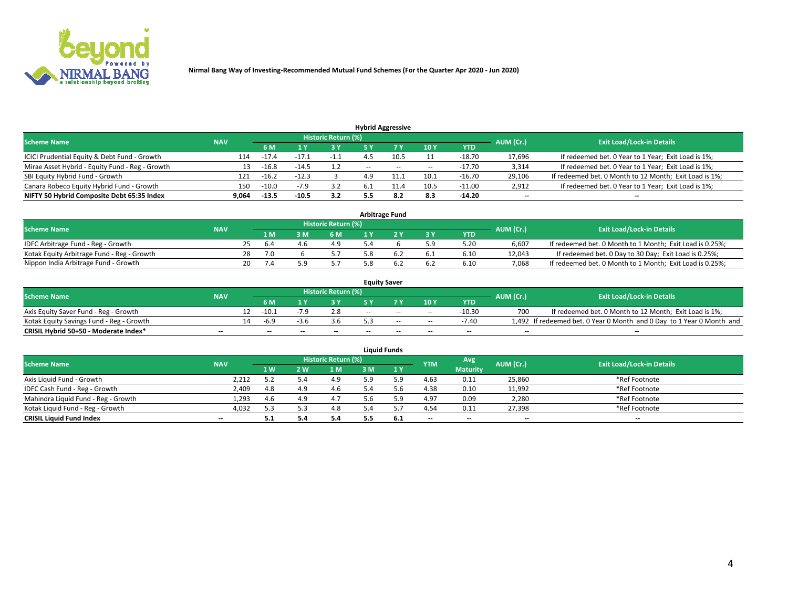

| <b>Hybrid Aggressive</b>                        |            |         |         |                     |                          |        |        |          |           |                                                        |  |  |  |
|-------------------------------------------------|------------|---------|---------|---------------------|--------------------------|--------|--------|----------|-----------|--------------------------------------------------------|--|--|--|
| <b>Scheme Name</b>                              | <b>NAV</b> |         |         | Historic Return (%) |                          |        |        |          | AUM (Cr.) | <b>Exit Load/Lock-in Details</b>                       |  |  |  |
|                                                 |            | 6 M     |         | 3 Y                 |                          |        | 10Y    | YTD      |           |                                                        |  |  |  |
| ICICI Prudential Equity & Debt Fund - Growth    | 114        | $-17.4$ |         |                     |                          | 10.5   |        | $-18.70$ | 17,696    | If redeemed bet. 0 Year to 1 Year; Exit Load is 1%;    |  |  |  |
| Mirae Asset Hybrid - Equity Fund - Reg - Growth | 13         | $-16.8$ | -14.5   |                     | $\overline{\phantom{a}}$ | $\sim$ | $\sim$ | $-17.70$ | 3,314     | If redeemed bet. 0 Year to 1 Year; Exit Load is 1%;    |  |  |  |
| SBI Equity Hybrid Fund - Growth                 | 121        | $-16.2$ | $-12.3$ |                     |                          | 11.1   | 10.1   | $-16.70$ | 29,106    | If redeemed bet. 0 Month to 12 Month; Exit Load is 1%; |  |  |  |
| Canara Robeco Equity Hybrid Fund - Growth       | 150        | $-10.0$ | $-7.5$  | 3.2                 |                          |        | 10.5   | $-11.00$ | 2,912     | If redeemed bet. 0 Year to 1 Year; Exit Load is 1%;    |  |  |  |
| NIFTY 50 Hybrid Composite Debt 65:35 Index      | 9,064      | $-13.5$ | $-10.5$ | 3.2                 |                          | 8.2    | 8.3    | $-14.20$ | $- -$     | $\overline{\phantom{a}}$                               |  |  |  |

| <b>Arbitrage Fund</b>                      |            |    |     |  |                            |  |  |           |            |           |                                                          |  |  |
|--------------------------------------------|------------|----|-----|--|----------------------------|--|--|-----------|------------|-----------|----------------------------------------------------------|--|--|
| <b>Scheme Name</b>                         | <b>NAV</b> |    |     |  | <b>Historic Return (%)</b> |  |  |           |            | AUM (Cr.) | <b>Exit Load/Lock-in Details</b>                         |  |  |
|                                            |            |    | 1 M |  | 6 M                        |  |  | <b>3V</b> | <b>YTD</b> |           |                                                          |  |  |
| IDFC Arbitrage Fund - Reg - Growth         |            |    | 6.4 |  | 49                         |  |  | 5.9       | 5.20       | 6,607     | If redeemed bet. 0 Month to 1 Month; Exit Load is 0.25%; |  |  |
| Kotak Equity Arbitrage Fund - Reg - Growth |            | 28 | 7.0 |  |                            |  |  | 6.1       | 6.10       | 12.043    | If redeemed bet. 0 Day to 30 Day; Exit Load is 0.25%;    |  |  |
| Nippon India Arbitrage Fund - Growth       |            | 20 |     |  |                            |  |  | 6.2       | 6.10       | 7.068     | If redeemed bet. 0 Month to 1 Month; Exit Load is 0.25%; |  |  |

|                                          |            |    |                          |        |                          |       | <b>Equity Saver</b>      |        |            |           |                                                                       |
|------------------------------------------|------------|----|--------------------------|--------|--------------------------|-------|--------------------------|--------|------------|-----------|-----------------------------------------------------------------------|
| <b>Scheme Name</b>                       | <b>NAV</b> |    |                          |        | Historic Return (%)      |       |                          |        |            | AUM (Cr.) | <b>Exit Load/Lock-in Details</b>                                      |
|                                          |            |    | 6 M                      |        |                          |       | 7 V                      | 10Y    | <b>YTD</b> |           |                                                                       |
| Axis Equity Saver Fund - Reg - Growth    |            | 12 | $-10.2$                  | $-1.9$ | 2.8                      | $- -$ | $-$                      | $\sim$ | $-10.30$   | 700       | If redeemed bet. 0 Month to 12 Month; Exit Load is 1%;                |
| Kotak Equity Savings Fund - Reg - Growth |            | 14 | -6.9                     |        |                          |       | $\sim$                   | $\sim$ | $-7.40$    |           | 1,492 If redeemed bet. 0 Year 0 Month and 0 Day to 1 Year 0 Month and |
| CRISIL Hybrid 50+50 - Moderate Index*    | $- -$      |    | $\overline{\phantom{a}}$ | --     | $\overline{\phantom{a}}$ | $-$   | $\overline{\phantom{a}}$ | $-$    | $-$        | $- -$     | --                                                                    |

| <b>Liquid Funds</b>                 |                          |     |     |                            |     |     |            |                 |           |                                  |  |  |  |
|-------------------------------------|--------------------------|-----|-----|----------------------------|-----|-----|------------|-----------------|-----------|----------------------------------|--|--|--|
| <b>Scheme Name</b>                  | <b>NAV</b>               |     |     | <b>Historic Return (%)</b> |     |     | <b>YTM</b> | Avg             | AUM (Cr.) | <b>Exit Load/Lock-in Details</b> |  |  |  |
|                                     |                          | 1W  | 2 W | 1 M                        | 3 M | 1 Y |            | <b>Maturity</b> |           |                                  |  |  |  |
| Axis Liquid Fund - Growth           | 2,212                    | . . |     | 4.9                        | ۲۹. | 5.9 | 4.63       | 0.11            | 25,860    | *Ref Footnote                    |  |  |  |
| IDFC Cash Fund - Reg - Growth       | 2,409                    | 4.8 | 4.9 | 4.6                        |     | b.b | 4.38       | 0.10            | 11,992    | *Ref Footnote                    |  |  |  |
| Mahindra Liquid Fund - Reg - Growth | 1,293                    | 4.6 | 4.9 | 4.7                        | d.c | 5.9 | 4.97       | 0.09            | 2,280     | *Ref Footnote                    |  |  |  |
| Kotak Liquid Fund - Reg - Growth    | 4,032                    | 5.3 |     | 4.8                        |     |     | 4.54       | 0.11            | 27,398    | *Ref Footnote                    |  |  |  |
| <b>CRISIL Liquid Fund Index</b>     | $\overline{\phantom{a}}$ |     |     | 5.4                        |     | 6.1 | $-$        | $-$             | $-$       | $-$                              |  |  |  |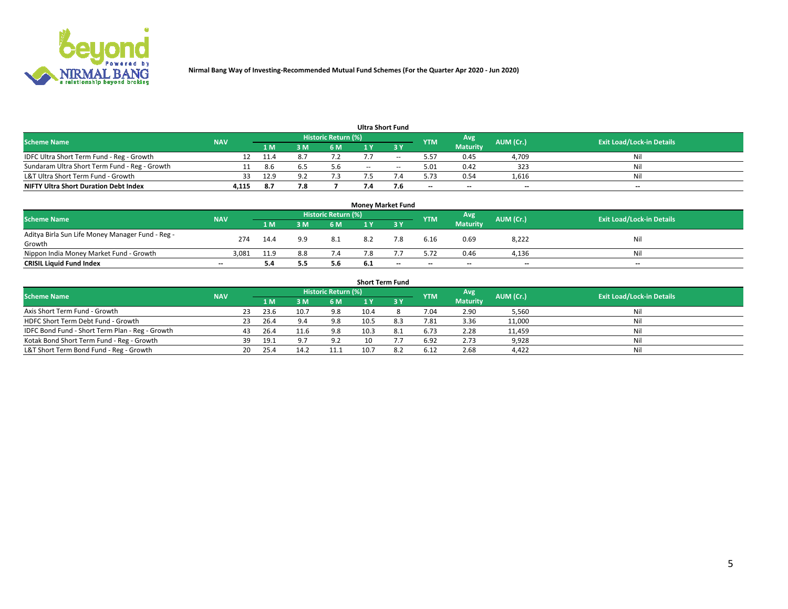

| <b>Ultra Short Fund</b>                       |            |      |     |                     |       |     |            |                 |           |                                  |  |  |  |  |
|-----------------------------------------------|------------|------|-----|---------------------|-------|-----|------------|-----------------|-----------|----------------------------------|--|--|--|--|
| <b>Scheme Name</b>                            | <b>NAV</b> |      |     | Historic Return (%) |       |     | <b>YTM</b> | Avg             | AUM (Cr.) | <b>Exit Load/Lock-in Details</b> |  |  |  |  |
|                                               |            | 1 M  | l M | 6 M                 | ∣Y    |     |            | <b>Maturity</b> |           |                                  |  |  |  |  |
| IDFC Ultra Short Term Fund - Reg - Growth     |            | 11.4 |     |                     |       | $-$ | 5.57       | 0.45            | 4,709     | Nil                              |  |  |  |  |
| Sundaram Ultra Short Term Fund - Reg - Growth |            | 8.6  |     | 5.6                 | $- -$ | $-$ | 5.01       | 0.42            | 323       | Nil                              |  |  |  |  |
| L&T Ultra Short Term Fund - Growth            | 33         | 12.9 | ດາ  |                     |       |     | 5.73       | 0.54            | 1,616     | Nil                              |  |  |  |  |
| <b>NIFTY Ultra Short Duration Debt Index</b>  | 4,115      | 8.7  |     |                     |       | 7.6 | $- -$      | $-$             | $- -$     | $- -$                            |  |  |  |  |

| <b>Money Market Fund</b>                         |            |      |     |                            |      |     |            |                 |           |                                  |  |  |  |  |
|--------------------------------------------------|------------|------|-----|----------------------------|------|-----|------------|-----------------|-----------|----------------------------------|--|--|--|--|
| <b>Scheme Name</b>                               | <b>NAV</b> |      |     | <b>Historic Return (%)</b> |      |     | <b>YTM</b> | Avg             | AUM (Cr.) | <b>Exit Load/Lock-in Details</b> |  |  |  |  |
|                                                  |            | 1 M  | 8 M | 6 M                        |      | ע כ |            | <b>Maturity</b> |           |                                  |  |  |  |  |
| Aditya Birla Sun Life Money Manager Fund - Reg - | 274        | 14.4 | 9.9 | -8.1                       | 8.2  | 7.8 | 6.16       | 0.69            | 8,222     | Nil                              |  |  |  |  |
| Growth                                           |            |      |     |                            |      |     |            |                 |           |                                  |  |  |  |  |
| Nippon India Money Market Fund - Growth          | 3,081      | 11.9 | 8.8 | 7.4                        |      |     | 5.72       | 0.46            | 4,136     | Nil                              |  |  |  |  |
| <b>CRISIL Liquid Fund Index</b>                  | $- -$      | 5.4  | 5.5 | 5.6                        | -6.1 | --  | $-$        | $-$             | $- -$     | $-$                              |  |  |  |  |

| <b>Short Term Fund</b>                          |            |     |      |      |                            |      |     |            |                 |           |                                  |  |  |
|-------------------------------------------------|------------|-----|------|------|----------------------------|------|-----|------------|-----------------|-----------|----------------------------------|--|--|
| <b>Scheme Name</b>                              | <b>NAV</b> |     |      |      | <b>Historic Return (%)</b> |      |     | <b>YTM</b> | Avg             | AUM (Cr.) | <b>Exit Load/Lock-in Details</b> |  |  |
|                                                 |            |     |      | 3 M  | 6 M                        |      |     |            | <b>Maturity</b> |           |                                  |  |  |
| Axis Short Term Fund - Growth                   |            | 23  | 23.6 | 10.7 | 9.8                        | 10.4 |     | 7.04       | 2.90            | 5,560     | Nil                              |  |  |
| HDFC Short Term Debt Fund - Growth              |            | 23. | 26.4 |      | 9.8                        | 10.5 | 8.3 | 7.81       | 3.36            | 11,000    | Nil                              |  |  |
| IDFC Bond Fund - Short Term Plan - Reg - Growth |            | 43  | 26.4 | 11.6 | 9.8                        | 10.3 | 8.1 | 6.73       | 2.28            | 11,459    | Nil                              |  |  |
| Kotak Bond Short Term Fund - Reg - Growth       |            | 39  | 19.1 | 9.7  | 9.2                        | 10   |     | 6.92       | 2.73            | 9,928     | Nil                              |  |  |
| L&T Short Term Bond Fund - Reg - Growth         |            | 20  | 25.4 | 14.2 | 11.1                       |      | 8.2 | 6.12       | 2.68            | 4,422     | Nil                              |  |  |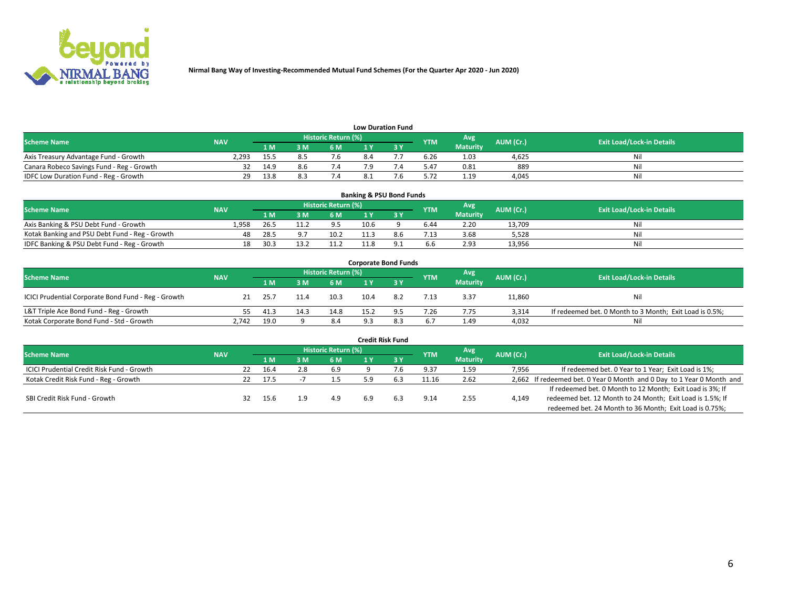

| <b>Low Duration Fund</b>                  |            |       |     |                            |  |     |            |                 |           |                                  |  |  |  |
|-------------------------------------------|------------|-------|-----|----------------------------|--|-----|------------|-----------------|-----------|----------------------------------|--|--|--|
| <b>Scheme Name</b>                        | <b>NAV</b> |       |     | <b>Historic Return (%)</b> |  |     | <b>YTM</b> | Avg             | AUM (Cr.) | <b>Exit Load/Lock-in Details</b> |  |  |  |
|                                           |            | 1 M . | 3 M | 6 M                        |  | י פ |            | <b>Maturity</b> |           |                                  |  |  |  |
| Axis Treasury Advantage Fund - Growth     | 2.293      | 15.5  |     | 7.6                        |  |     | 6.26       | 1.03            | 4.625     | Nil                              |  |  |  |
| Canara Robeco Savings Fund - Reg - Growth |            | 14.9  |     |                            |  |     | 5.47       | 0.81            | 889       | Nil                              |  |  |  |
| IDFC Low Duration Fund - Reg - Growth     | 29         | 13.8  |     |                            |  |     | 5.72       | 1.19            | 4.045     | Nil                              |  |  |  |

| <b>Banking &amp; PSU Bond Funds</b>            |            |      |      |                     |      |     |            |                 |           |                                  |  |  |  |
|------------------------------------------------|------------|------|------|---------------------|------|-----|------------|-----------------|-----------|----------------------------------|--|--|--|
| <b>Scheme Name</b>                             | <b>NAV</b> |      |      | Historic Return (%) |      |     | <b>YTM</b> | Avg             | AUM (Cr.) | <b>Exit Load/Lock-in Details</b> |  |  |  |
|                                                |            | 1 M  | 3 M  | 6 M                 |      |     |            | <b>Maturity</b> |           |                                  |  |  |  |
| Axis Banking & PSU Debt Fund - Growth          | 1.958      | 26.5 | 11.2 | 9.5                 | 10.6 |     | 6.44       | 2.20            | 13.709    | Nil                              |  |  |  |
| Kotak Banking and PSU Debt Fund - Reg - Growth | 48         | 28.5 |      | 10.2                |      | 8.b | 7.13       | 3.68            | 5.528     | Nil                              |  |  |  |
| IDFC Banking & PSU Debt Fund - Reg - Growth    | 18         | 30.3 | 13.2 | 11.2                | 11.8 |     | 6.6        | 2.93            | 13,956    | Nil                              |  |  |  |

| <b>Corporate Bond Funds</b>                         |            |      |      |                     |      |     |            |                 |           |                                                         |  |  |  |  |
|-----------------------------------------------------|------------|------|------|---------------------|------|-----|------------|-----------------|-----------|---------------------------------------------------------|--|--|--|--|
| <b>Scheme Name</b>                                  | <b>NAV</b> |      |      | Historic Return (%) |      |     | <b>YTM</b> | Avg             | AUM (Cr.) | <b>Exit Load/Lock-in Details</b>                        |  |  |  |  |
|                                                     |            | 4 M  |      | 6 M                 |      |     |            | <b>Maturity</b> |           |                                                         |  |  |  |  |
| ICICI Prudential Corporate Bond Fund - Reg - Growth |            | 25.7 |      | 10.3                | 10.4 | 8.2 | 7.13       | 3.37            | 11,860    | Nil                                                     |  |  |  |  |
| L&T Triple Ace Bond Fund - Reg - Growth             |            | 41.3 | 14.3 | 14.8                | 15.2 | 9.5 | 7.26       | 7.75            | 3.314     | If redeemed bet. 0 Month to 3 Month; Exit Load is 0.5%; |  |  |  |  |
| Kotak Corporate Bond Fund - Std - Growth            | 2.742      | 19.0 |      | -8.4                | Q 3  | 8.3 | 6.7        | 1.49            | 4,032     | Nil                                                     |  |  |  |  |

| <b>Credit Risk Fund</b>                    |            |    |      |      |                            |     |            |            |                 |           |                                                                       |  |  |
|--------------------------------------------|------------|----|------|------|----------------------------|-----|------------|------------|-----------------|-----------|-----------------------------------------------------------------------|--|--|
| <b>Scheme Name</b>                         | <b>NAV</b> |    |      |      | <b>Historic Return (%)</b> |     |            | <b>YTM</b> | Avg             | AUM (Cr.) | <b>Exit Load/Lock-in Details</b>                                      |  |  |
|                                            |            |    | 1 M  | 3M   | <b>6M</b>                  |     | <b>3 Y</b> |            | <b>Maturity</b> |           |                                                                       |  |  |
| ICICI Prudential Credit Risk Fund - Growth |            | 22 | 16.4 | 2.8  | 6.9                        |     |            | 9.37       | 1.59            | 7,956     | If redeemed bet. 0 Year to 1 Year; Exit Load is 1%;                   |  |  |
| Kotak Credit Risk Fund - Reg - Growth      |            | 22 | 17.5 |      |                            |     |            | 11.16      | 2.62            |           | 2,662 If redeemed bet. 0 Year 0 Month and 0 Day to 1 Year 0 Month and |  |  |
|                                            |            |    |      |      |                            |     |            |            |                 |           | If redeemed bet. 0 Month to 12 Month; Exit Load is 3%; If             |  |  |
| SBI Credit Risk Fund - Growth              |            |    | 15.6 | ∴, q | 4.9                        | 6.9 | 6.3        | 9.14       | 2.55            | 4,149     | redeemed bet. 12 Month to 24 Month; Exit Load is 1.5%; If             |  |  |
|                                            |            |    |      |      |                            |     |            |            |                 |           | redeemed bet. 24 Month to 36 Month; Exit Load is 0.75%;               |  |  |